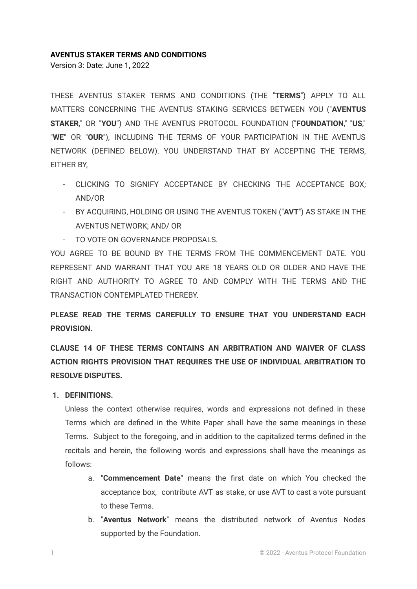#### **AVENTUS STAKER TERMS AND CONDITIONS**

Version 3: Date: June 1, 2022

THESE AVENTUS STAKER TERMS AND CONDITIONS (THE "**TERMS**") APPLY TO ALL MATTERS CONCERNING THE AVENTUS STAKING SERVICES BETWEEN YOU ("**AVENTUS STAKER**," OR "**YOU**") AND THE AVENTUS PROTOCOL FOUNDATION ("**FOUNDATION**," "**US**," "**WE**" OR "**OUR**"), INCLUDING THE TERMS OF YOUR PARTICIPATION IN THE AVENTUS NETWORK (DEFINED BELOW). YOU UNDERSTAND THAT BY ACCEPTING THE TERMS, EITHER BY,

- CLICKING TO SIGNIFY ACCEPTANCE BY CHECKING THE ACCEPTANCE BOX; AND/OR
- BY ACQUIRING, HOLDING OR USING THE AVENTUS TOKEN ("**AVT**") AS STAKE IN THE AVENTUS NETWORK; AND/ OR
- TO VOTE ON GOVERNANCE PROPOSALS.

YOU AGREE TO BE BOUND BY THE TERMS FROM THE COMMENCEMENT DATE. YOU REPRESENT AND WARRANT THAT YOU ARE 18 YEARS OLD OR OLDER AND HAVE THE RIGHT AND AUTHORITY TO AGREE TO AND COMPLY WITH THE TERMS AND THE TRANSACTION CONTEMPLATED THEREBY.

**PLEASE READ THE TERMS CAREFULLY TO ENSURE THAT YOU UNDERSTAND EACH PROVISION.**

**CLAUSE 14 OF THESE TERMS CONTAINS AN ARBITRATION AND WAIVER OF CLASS ACTION RIGHTS PROVISION THAT REQUIRES THE USE OF INDIVIDUAL ARBITRATION TO RESOLVE DISPUTES.**

**1. DEFINITIONS.**

Unless the context otherwise requires, words and expressions not defined in these Terms which are defined in the White Paper shall have the same meanings in these Terms. Subject to the foregoing, and in addition to the capitalized terms defined in the recitals and herein, the following words and expressions shall have the meanings as follows:

- a. "**Commencement Date**" means the first date on which You checked the acceptance box, contribute AVT as stake, or use AVT to cast a vote pursuant to these Terms.
- b. "**Aventus Network**" means the distributed network of Aventus Nodes supported by the Foundation.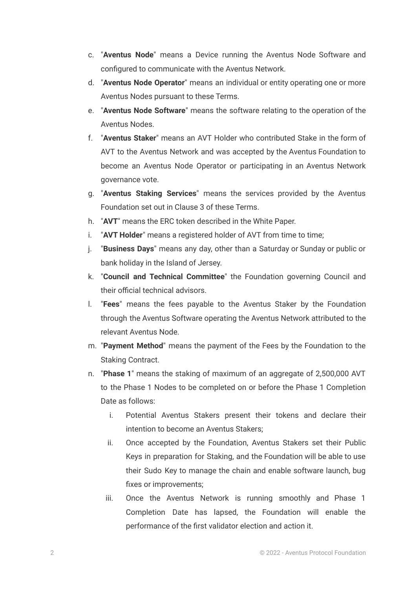- c. "**Aventus Node**" means a Device running the Aventus Node Software and configured to communicate with the Aventus Network.
- d. "**Aventus Node Operator**" means an individual or entity operating one or more Aventus Nodes pursuant to these Terms.
- e. "**Aventus Node Software**" means the software relating to the operation of the Aventus Nodes.
- f. "**Aventus Staker**" means an AVT Holder who contributed Stake in the form of AVT to the Aventus Network and was accepted by the Aventus Foundation to become an Aventus Node Operator or participating in an Aventus Network governance vote.
- g. "**Aventus Staking Services**" means the services provided by the Aventus Foundation set out in Clause 3 of these Terms.
- h. "**AVT**" means the ERC token described in the White Paper.
- i. "**AVT Holder**" means a registered holder of AVT from time to time;
- j. "**Business Days**" means any day, other than a Saturday or Sunday or public or bank holiday in the Island of Jersey.
- k. "**Council and Technical Committee**" the Foundation governing Council and their official technical advisors.
- l. "**Fees**" means the fees payable to the Aventus Staker by the Foundation through the Aventus Software operating the Aventus Network attributed to the relevant Aventus Node.
- m. "**Payment Method**" means the payment of the Fees by the Foundation to the Staking Contract.
- n. "**Phase 1**" means the staking of maximum of an aggregate of 2,500,000 AVT to the Phase 1 Nodes to be completed on or before the Phase 1 Completion Date as follows:
	- i. Potential Aventus Stakers present their tokens and declare their intention to become an Aventus Stakers;
	- ii. Once accepted by the Foundation, Aventus Stakers set their Public Keys in preparation for Staking, and the Foundation will be able to use their Sudo Key to manage the chain and enable software launch, bug fixes or improvements;
	- iii. Once the Aventus Network is running smoothly and Phase 1 Completion Date has lapsed, the Foundation will enable the performance of the first validator election and action it.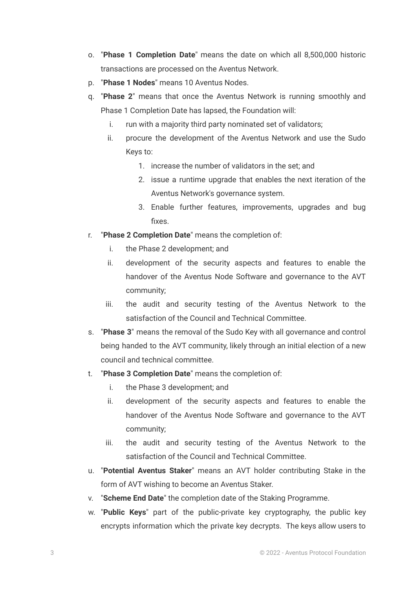- o. "**Phase 1 Completion Date**" means the date on which all 8,500,000 historic transactions are processed on the Aventus Network.
- p. "**Phase 1 Nodes**" means 10 Aventus Nodes.
- q. "**Phase 2**" means that once the Aventus Network is running smoothly and Phase 1 Completion Date has lapsed, the Foundation will:
	- i. run with a majority third party nominated set of validators;
	- ii. procure the development of the Aventus Network and use the Sudo Keys to:
		- 1. increase the number of validators in the set; and
		- 2. issue a runtime upgrade that enables the next iteration of the Aventus Network's governance system.
		- 3. Enable further features, improvements, upgrades and bug fixes.
- r. "**Phase 2 Completion Date**" means the completion of:
	- i. the Phase 2 development; and
	- ii. development of the security aspects and features to enable the handover of the Aventus Node Software and governance to the AVT community;
	- iii. the audit and security testing of the Aventus Network to the satisfaction of the Council and Technical Committee.
- s. "**Phase 3**" means the removal of the Sudo Key with all governance and control being handed to the AVT community, likely through an initial election of a new council and technical committee.
- t. "**Phase 3 Completion Date**" means the completion of:
	- i. the Phase 3 development; and
	- ii. development of the security aspects and features to enable the handover of the Aventus Node Software and governance to the AVT community;
	- iii. the audit and security testing of the Aventus Network to the satisfaction of the Council and Technical Committee.
- u. "**Potential Aventus Staker**" means an AVT holder contributing Stake in the form of AVT wishing to become an Aventus Staker.
- v. "**Scheme End Date**" the completion date of the Staking Programme.
- w. "**Public Keys**" part of the public-private key cryptography, the public key encrypts information which the private key decrypts. The keys allow users to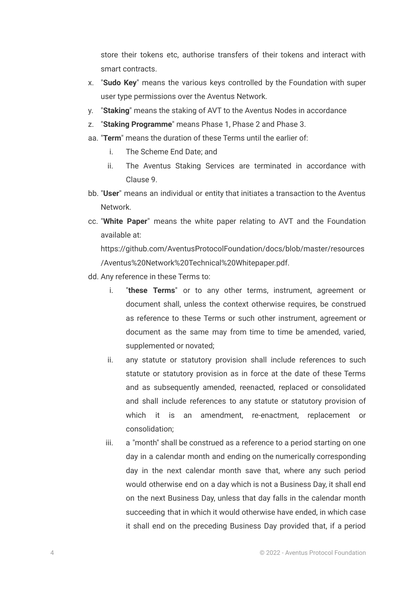store their tokens etc, authorise transfers of their tokens and interact with smart contracts.

- x. "**Sudo Key**" means the various keys controlled by the Foundation with super user type permissions over the Aventus Network.
- y. "**Staking**" means the staking of AVT to the Aventus Nodes in accordance
- z. "**Staking Programme**" means Phase 1, Phase 2 and Phase 3.
- aa. "**Term**" means the duration of these Terms until the earlier of:
	- i. The Scheme End Date; and
	- ii. The Aventus Staking Services are terminated in accordance with Clause 9.
- bb. "**User**" means an individual or entity that initiates a transaction to the Aventus Network.
- cc. "**White Paper**" means the white paper relating to AVT and the Foundation available at:

https://github.com/AventusProtocolFoundation/docs/blob/master/resources /Aventus%20Network%20Technical%20Whitepaper.pdf.

- dd. Any reference in these Terms to:
	- i. "**these Terms**" or to any other terms, instrument, agreement or document shall, unless the context otherwise requires, be construed as reference to these Terms or such other instrument, agreement or document as the same may from time to time be amended, varied, supplemented or novated;
	- ii. any statute or statutory provision shall include references to such statute or statutory provision as in force at the date of these Terms and as subsequently amended, reenacted, replaced or consolidated and shall include references to any statute or statutory provision of which it is an amendment, re-enactment, replacement or consolidation;
	- iii. a "month" shall be construed as a reference to a period starting on one day in a calendar month and ending on the numerically corresponding day in the next calendar month save that, where any such period would otherwise end on a day which is not a Business Day, it shall end on the next Business Day, unless that day falls in the calendar month succeeding that in which it would otherwise have ended, in which case it shall end on the preceding Business Day provided that, if a period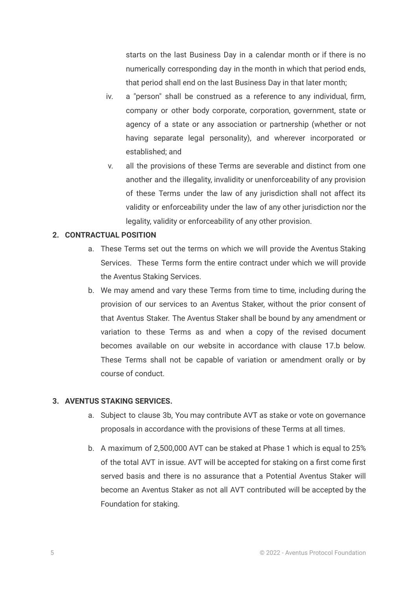starts on the last Business Day in a calendar month or if there is no numerically corresponding day in the month in which that period ends, that period shall end on the last Business Day in that later month;

- iv. a "person" shall be construed as a reference to any individual, firm, company or other body corporate, corporation, government, state or agency of a state or any association or partnership (whether or not having separate legal personality), and wherever incorporated or established; and
- v. all the provisions of these Terms are severable and distinct from one another and the illegality, invalidity or unenforceability of any provision of these Terms under the law of any jurisdiction shall not affect its validity or enforceability under the law of any other jurisdiction nor the legality, validity or enforceability of any other provision.

#### **2. CONTRACTUAL POSITION**

- a. These Terms set out the terms on which we will provide the Aventus Staking Services. These Terms form the entire contract under which we will provide the Aventus Staking Services.
- b. We may amend and vary these Terms from time to time, including during the provision of our services to an Aventus Staker, without the prior consent of that Aventus Staker. The Aventus Staker shall be bound by any amendment or variation to these Terms as and when a copy of the revised document becomes available on our website in accordance with clause 17.b below. These Terms shall not be capable of variation or amendment orally or by course of conduct.

#### **3. AVENTUS STAKING SERVICES.**

- a. Subject to clause 3b, You may contribute AVT as stake or vote on governance proposals in accordance with the provisions of these Terms at all times.
- b. A maximum of 2,500,000 AVT can be staked at Phase 1 which is equal to 25% of the total AVT in issue. AVT will be accepted for staking on a first come first served basis and there is no assurance that a Potential Aventus Staker will become an Aventus Staker as not all AVT contributed will be accepted by the Foundation for staking.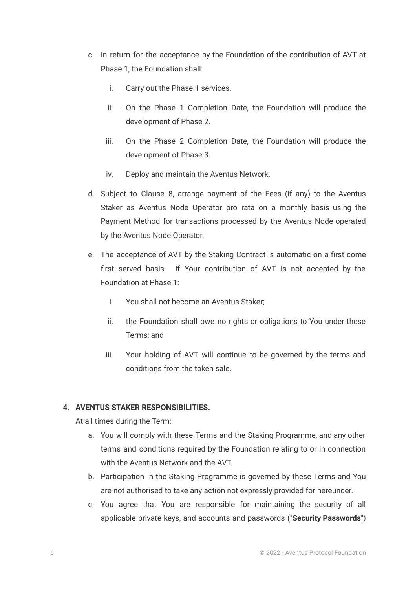- c. In return for the acceptance by the Foundation of the contribution of AVT at Phase 1, the Foundation shall:
	- i. Carry out the Phase 1 services.
	- ii. On the Phase 1 Completion Date, the Foundation will produce the development of Phase 2.
	- iii. On the Phase 2 Completion Date, the Foundation will produce the development of Phase 3.
	- iv. Deploy and maintain the Aventus Network.
- d. Subject to Clause 8, arrange payment of the Fees (if any) to the Aventus Staker as Aventus Node Operator pro rata on a monthly basis using the Payment Method for transactions processed by the Aventus Node operated by the Aventus Node Operator.
- e. The acceptance of AVT by the Staking Contract is automatic on a first come first served basis. If Your contribution of AVT is not accepted by the Foundation at Phase 1:
	- i. You shall not become an Aventus Staker;
	- ii. the Foundation shall owe no rights or obligations to You under these Terms; and
	- iii. Your holding of AVT will continue to be governed by the terms and conditions from the token sale.

# **4. AVENTUS STAKER RESPONSIBILITIES.**

At all times during the Term:

- a. You will comply with these Terms and the Staking Programme, and any other terms and conditions required by the Foundation relating to or in connection with the Aventus Network and the AVT.
- b. Participation in the Staking Programme is governed by these Terms and You are not authorised to take any action not expressly provided for hereunder.
- c. You agree that You are responsible for maintaining the security of all applicable private keys, and accounts and passwords ("**Security Passwords**")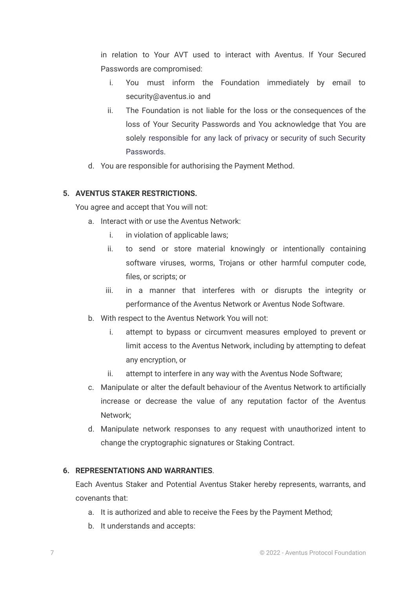in relation to Your AVT used to interact with Aventus. If Your Secured Passwords are compromised:

- i. You must inform the Foundation immediately by email to security@aventus.io and
- ii. The Foundation is not liable for the loss or the consequences of the loss of Your Security Passwords and You acknowledge that You are solely responsible for any lack of privacy or security of such Security Passwords.
- d. You are responsible for authorising the Payment Method.

# **5. AVENTUS STAKER RESTRICTIONS.**

You agree and accept that You will not:

- a. Interact with or use the Aventus Network:
	- i. in violation of applicable laws;
	- ii. to send or store material knowingly or intentionally containing software viruses, worms, Trojans or other harmful computer code, files, or scripts; or
	- iii. in a manner that interferes with or disrupts the integrity or performance of the Aventus Network or Aventus Node Software.
- b. With respect to the Aventus Network You will not:
	- i. attempt to bypass or circumvent measures employed to prevent or limit access to the Aventus Network, including by attempting to defeat any encryption, or
	- ii. attempt to interfere in any way with the Aventus Node Software;
- c. Manipulate or alter the default behaviour of the Aventus Network to artificially increase or decrease the value of any reputation factor of the Aventus Network;
- d. Manipulate network responses to any request with unauthorized intent to change the cryptographic signatures or Staking Contract.

## **6. REPRESENTATIONS AND WARRANTIES**.

Each Aventus Staker and Potential Aventus Staker hereby represents, warrants, and covenants that:

- a. It is authorized and able to receive the Fees by the Payment Method;
- b. It understands and accepts: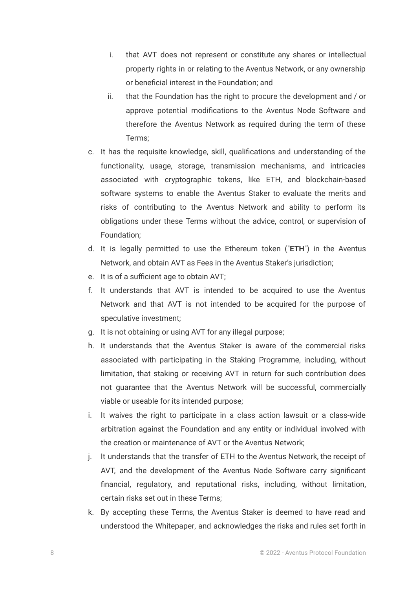- i. that AVT does not represent or constitute any shares or intellectual property rights in or relating to the Aventus Network, or any ownership or beneficial interest in the Foundation; and
- ii. that the Foundation has the right to procure the development and / or approve potential modifications to the Aventus Node Software and therefore the Aventus Network as required during the term of these Terms;
- c. It has the requisite knowledge, skill, qualifications and understanding of the functionality, usage, storage, transmission mechanisms, and intricacies associated with cryptographic tokens, like ETH, and blockchain-based software systems to enable the Aventus Staker to evaluate the merits and risks of contributing to the Aventus Network and ability to perform its obligations under these Terms without the advice, control, or supervision of Foundation;
- d. It is legally permitted to use the Ethereum token ("**ETH**") in the Aventus Network, and obtain AVT as Fees in the Aventus Staker's jurisdiction;
- e. It is of a sufficient age to obtain AVT;
- f. It understands that AVT is intended to be acquired to use the Aventus Network and that AVT is not intended to be acquired for the purpose of speculative investment;
- g. It is not obtaining or using AVT for any illegal purpose;
- h. It understands that the Aventus Staker is aware of the commercial risks associated with participating in the Staking Programme, including, without limitation, that staking or receiving AVT in return for such contribution does not guarantee that the Aventus Network will be successful, commercially viable or useable for its intended purpose;
- i. It waives the right to participate in a class action lawsuit or a class-wide arbitration against the Foundation and any entity or individual involved with the creation or maintenance of AVT or the Aventus Network;
- j. It understands that the transfer of ETH to the Aventus Network, the receipt of AVT, and the development of the Aventus Node Software carry significant financial, regulatory, and reputational risks, including, without limitation, certain risks set out in these Terms;
- k. By accepting these Terms, the Aventus Staker is deemed to have read and understood the [Whitepaper,](https://www.aventus.io/learn/#learn-pdf) and acknowledges the risks and rules set forth in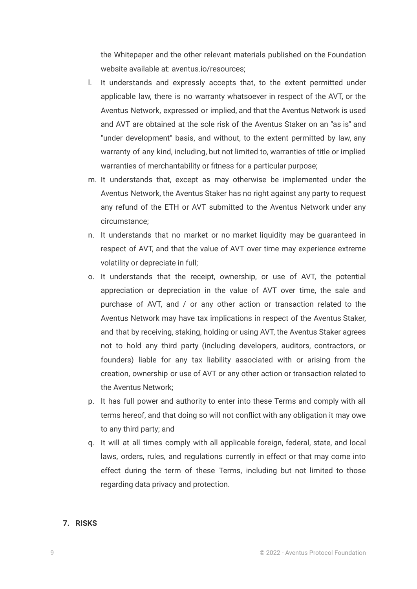the Whitepaper and the other relevant materials published on the Foundation website available at: aventus.io/resources;

- l. It understands and expressly accepts that, to the extent permitted under applicable law, there is no warranty whatsoever in respect of the AVT, or the Aventus Network, expressed or implied, and that the Aventus Network is used and AVT are obtained at the sole risk of the Aventus Staker on an "as is" and "under development" basis, and without, to the extent permitted by law, any warranty of any kind, including, but not limited to, warranties of title or implied warranties of merchantability or fitness for a particular purpose;
- m. It understands that, except as may otherwise be implemented under the Aventus Network, the Aventus Staker has no right against any party to request any refund of the ETH or AVT submitted to the Aventus Network under any circumstance;
- n. It understands that no market or no market liquidity may be guaranteed in respect of AVT, and that the value of AVT over time may experience extreme volatility or depreciate in full;
- o. It understands that the receipt, ownership, or use of AVT, the potential appreciation or depreciation in the value of AVT over time, the sale and purchase of AVT, and / or any other action or transaction related to the Aventus Network may have tax implications in respect of the Aventus Staker, and that by receiving, staking, holding or using AVT, the Aventus Staker agrees not to hold any third party (including developers, auditors, contractors, or founders) liable for any tax liability associated with or arising from the creation, ownership or use of AVT or any other action or transaction related to the Aventus Network;
- p. It has full power and authority to enter into these Terms and comply with all terms hereof, and that doing so will not conflict with any obligation it may owe to any third party; and
- q. It will at all times comply with all applicable foreign, federal, state, and local laws, orders, rules, and regulations currently in effect or that may come into effect during the term of these Terms, including but not limited to those regarding data privacy and protection.

### **7. RISKS**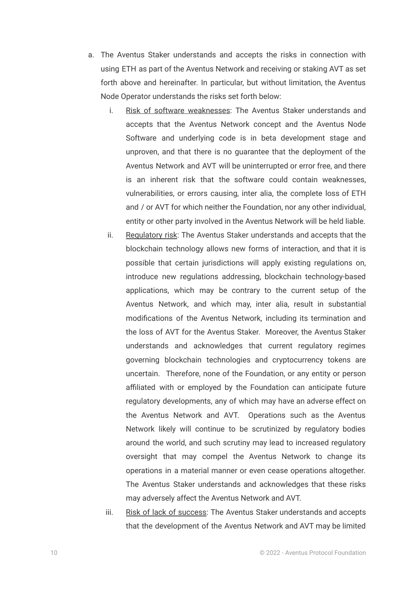- a. The Aventus Staker understands and accepts the risks in connection with using ETH as part of the Aventus Network and receiving or staking AVT as set forth above and hereinafter. In particular, but without limitation, the Aventus Node Operator understands the risks set forth below:
	- i. Risk of software weaknesses: The Aventus Staker understands and accepts that the Aventus Network concept and the Aventus Node Software and underlying code is in beta development stage and unproven, and that there is no guarantee that the deployment of the Aventus Network and AVT will be uninterrupted or error free, and there is an inherent risk that the software could contain weaknesses, vulnerabilities, or errors causing, inter alia, the complete loss of ETH and / or AVT for which neither the Foundation, nor any other individual, entity or other party involved in the Aventus Network will be held liable.
	- ii. Regulatory risk: The Aventus Staker understands and accepts that the blockchain technology allows new forms of interaction, and that it is possible that certain jurisdictions will apply existing regulations on, introduce new regulations addressing, blockchain technology-based applications, which may be contrary to the current setup of the Aventus Network, and which may, inter alia, result in substantial modifications of the Aventus Network, including its termination and the loss of AVT for the Aventus Staker. Moreover, the Aventus Staker understands and acknowledges that current regulatory regimes governing blockchain technologies and cryptocurrency tokens are uncertain. Therefore, none of the Foundation, or any entity or person affiliated with or employed by the Foundation can anticipate future regulatory developments, any of which may have an adverse effect on the Aventus Network and AVT. Operations such as the Aventus Network likely will continue to be scrutinized by regulatory bodies around the world, and such scrutiny may lead to increased regulatory oversight that may compel the Aventus Network to change its operations in a material manner or even cease operations altogether. The Aventus Staker understands and acknowledges that these risks may adversely affect the Aventus Network and AVT.
	- iii. Risk of lack of success: The Aventus Staker understands and accepts that the development of the Aventus Network and AVT may be limited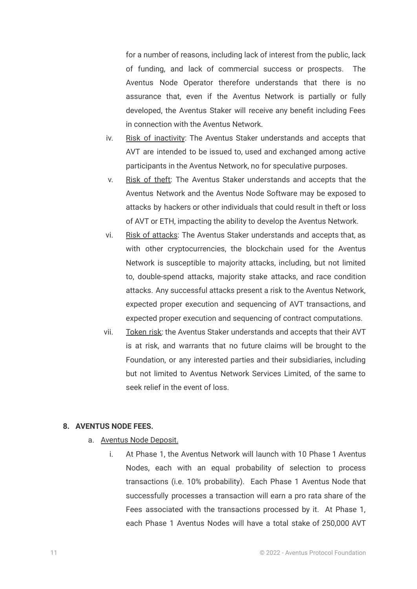for a number of reasons, including lack of interest from the public, lack of funding, and lack of commercial success or prospects. The Aventus Node Operator therefore understands that there is no assurance that, even if the Aventus Network is partially or fully developed, the Aventus Staker will receive any benefit including Fees in connection with the Aventus Network.

- iv. Risk of inactivity: The Aventus Staker understands and accepts that AVT are intended to be issued to, used and exchanged among active participants in the Aventus Network, no for speculative purposes.
- v. Risk of theft: The Aventus Staker understands and accepts that the Aventus Network and the Aventus Node Software may be exposed to attacks by hackers or other individuals that could result in theft or loss of AVT or ETH, impacting the ability to develop the Aventus Network.
- vi. Risk of attacks: The Aventus Staker understands and accepts that, as with other cryptocurrencies, the blockchain used for the Aventus Network is susceptible to majority attacks, including, but not limited to, double-spend attacks, majority stake attacks, and race condition attacks. Any successful attacks present a risk to the Aventus Network, expected proper execution and sequencing of AVT transactions, and expected proper execution and sequencing of contract computations.
- vii. Token risk: the Aventus Staker understands and accepts that their AVT is at risk, and warrants that no future claims will be brought to the Foundation, or any interested parties and their subsidiaries, including but not limited to Aventus Network Services Limited, of the same to seek relief in the event of loss.

### **8. AVENTUS NODE FEES.**

- a. Aventus Node Deposit.
	- i. At Phase 1, the Aventus Network will launch with 10 Phase 1 Aventus Nodes, each with an equal probability of selection to process transactions (i.e. 10% probability). Each Phase 1 Aventus Node that successfully processes a transaction will earn a pro rata share of the Fees associated with the transactions processed by it. At Phase 1, each Phase 1 Aventus Nodes will have a total stake of 250,000 AVT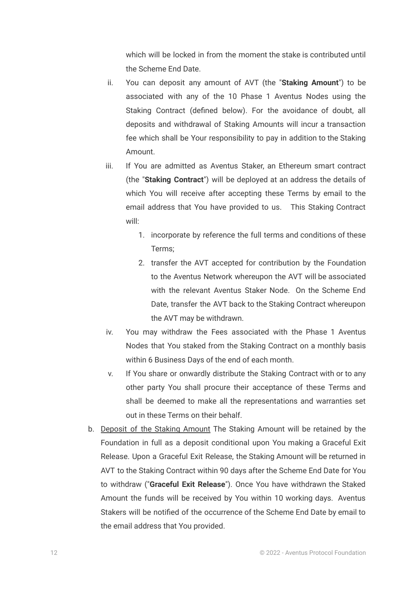which will be locked in from the moment the stake is contributed until the Scheme End Date.

- ii. You can deposit any amount of AVT (the "**Staking Amount**") to be associated with any of the 10 Phase 1 Aventus Nodes using the Staking Contract (defined below). For the avoidance of doubt, all deposits and withdrawal of Staking Amounts will incur a transaction fee which shall be Your responsibility to pay in addition to the Staking Amount.
- iii. If You are admitted as Aventus Staker, an Ethereum smart contract (the "**Staking Contract**") will be deployed at an address the details of which You will receive after accepting these Terms by email to the email address that You have provided to us. This Staking Contract will:
	- 1. incorporate by reference the full terms and conditions of these Terms;
	- 2. transfer the AVT accepted for contribution by the Foundation to the Aventus Network whereupon the AVT will be associated with the relevant Aventus Staker Node. On the Scheme End Date, transfer the AVT back to the Staking Contract whereupon the AVT may be withdrawn.
- iv. You may withdraw the Fees associated with the Phase 1 Aventus Nodes that You staked from the Staking Contract on a monthly basis within 6 Business Days of the end of each month.
- v. If You share or onwardly distribute the Staking Contract with or to any other party You shall procure their acceptance of these Terms and shall be deemed to make all the representations and warranties set out in these Terms on their behalf.
- b. Deposit of the Staking Amount The Staking Amount will be retained by the Foundation in full as a deposit conditional upon You making a Graceful Exit Release. Upon a Graceful Exit Release, the Staking Amount will be returned in AVT to the Staking Contract within 90 days after the Scheme End Date for You to withdraw ("**Graceful Exit Release**"). Once You have withdrawn the Staked Amount the funds will be received by You within 10 working days. Aventus Stakers will be notified of the occurrence of the Scheme End Date by email to the email address that You provided.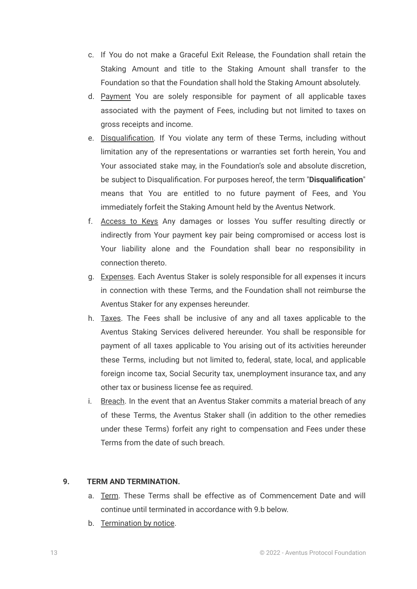- c. If You do not make a Graceful Exit Release, the Foundation shall retain the Staking Amount and title to the Staking Amount shall transfer to the Foundation so that the Foundation shall hold the Staking Amount absolutely.
- d. Payment You are solely responsible for payment of all applicable taxes associated with the payment of Fees, including but not limited to taxes on gross receipts and income.
- e. Disqualification. If You violate any term of these Terms, including without limitation any of the representations or warranties set forth herein, You and Your associated stake may, in the Foundation's sole and absolute discretion, be subject to Disqualification. For purposes hereof, the term "**Disqualification**" means that You are entitled to no future payment of Fees, and You immediately forfeit the Staking Amount held by the Aventus Network.
- f. Access to Keys Any damages or losses You suffer resulting directly or indirectly from Your payment key pair being compromised or access lost is Your liability alone and the Foundation shall bear no responsibility in connection thereto.
- g. Expenses. Each Aventus Staker is solely responsible for all expenses it incurs in connection with these Terms, and the Foundation shall not reimburse the Aventus Staker for any expenses hereunder.
- h. Taxes. The Fees shall be inclusive of any and all taxes applicable to the Aventus Staking Services delivered hereunder. You shall be responsible for payment of all taxes applicable to You arising out of its activities hereunder these Terms, including but not limited to, federal, state, local, and applicable foreign income tax, Social Security tax, unemployment insurance tax, and any other tax or business license fee as required.
- i. Breach. In the event that an Aventus Staker commits a material breach of any of these Terms, the Aventus Staker shall (in addition to the other remedies under these Terms) forfeit any right to compensation and Fees under these Terms from the date of such breach.

## **9. TERM AND TERMINATION.**

- a. Term. These Terms shall be effective as of Commencement Date and will continue until terminated in accordance with 9.b below.
- b. Termination by notice.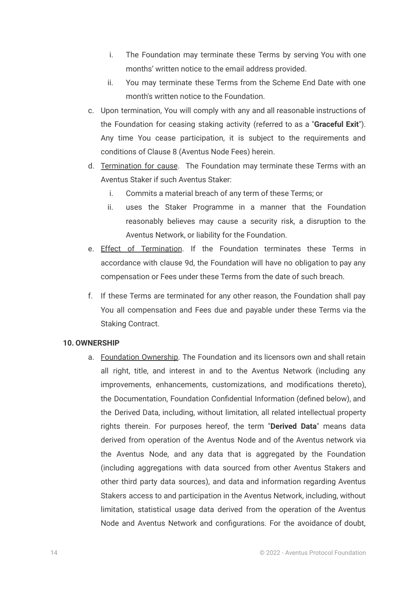- i. The Foundation may terminate these Terms by serving You with one months' written notice to the email address provided.
- ii. You may terminate these Terms from the Scheme End Date with one month's written notice to the Foundation.
- c. Upon termination, You will comply with any and all reasonable instructions of the Foundation for ceasing staking activity (referred to as a "**Graceful Exit**"). Any time You cease participation, it is subject to the requirements and conditions of Clause 8 (Aventus Node Fees) herein.
- d. Termination for cause. The Foundation may terminate these Terms with an Aventus Staker if such Aventus Staker:
	- i. Commits a material breach of any term of these Terms; or
	- ii. uses the Staker Programme in a manner that the Foundation reasonably believes may cause a security risk, a disruption to the Aventus Network, or liability for the Foundation.
- e. Effect of Termination. If the Foundation terminates these Terms in accordance with clause 9d, the Foundation will have no obligation to pay any compensation or Fees under these Terms from the date of such breach.
- f. If these Terms are terminated for any other reason, the Foundation shall pay You all compensation and Fees due and payable under these Terms via the Staking Contract.

### **10. OWNERSHIP**

a. Foundation Ownership. The Foundation and its licensors own and shall retain all right, title, and interest in and to the Aventus Network (including any improvements, enhancements, customizations, and modifications thereto), the Documentation, Foundation Confidential Information (defined below), and the Derived Data, including, without limitation, all related intellectual property rights therein. For purposes hereof, the term "**Derived Data**" means data derived from operation of the Aventus Node and of the Aventus network via the Aventus Node, and any data that is aggregated by the Foundation (including aggregations with data sourced from other Aventus Stakers and other third party data sources), and data and information regarding Aventus Stakers access to and participation in the Aventus Network, including, without limitation, statistical usage data derived from the operation of the Aventus Node and Aventus Network and configurations. For the avoidance of doubt,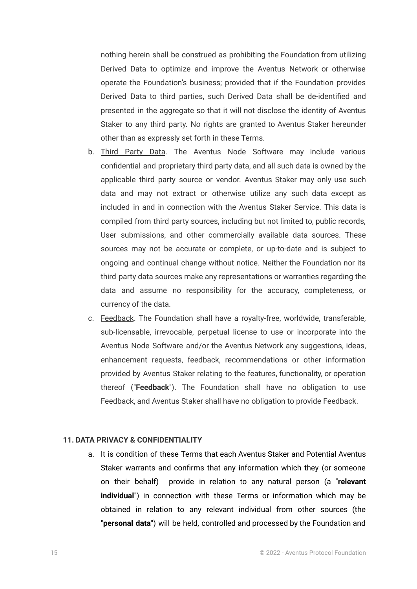nothing herein shall be construed as prohibiting the Foundation from utilizing Derived Data to optimize and improve the Aventus Network or otherwise operate the Foundation's business; provided that if the Foundation provides Derived Data to third parties, such Derived Data shall be de-identified and presented in the aggregate so that it will not disclose the identity of Aventus Staker to any third party. No rights are granted to Aventus Staker hereunder other than as expressly set forth in these Terms.

- b. Third Party Data. The Aventus Node Software may include various confidential and proprietary third party data, and all such data is owned by the applicable third party source or vendor. Aventus Staker may only use such data and may not extract or otherwise utilize any such data except as included in and in connection with the Aventus Staker Service. This data is compiled from third party sources, including but not limited to, public records, User submissions, and other commercially available data sources. These sources may not be accurate or complete, or up-to-date and is subject to ongoing and continual change without notice. Neither the Foundation nor its third party data sources make any representations or warranties regarding the data and assume no responsibility for the accuracy, completeness, or currency of the data.
- c. Feedback. The Foundation shall have a royalty-free, worldwide, transferable, sub-licensable, irrevocable, perpetual license to use or incorporate into the Aventus Node Software and/or the Aventus Network any suggestions, ideas, enhancement requests, feedback, recommendations or other information provided by Aventus Staker relating to the features, functionality, or operation thereof ("**Feedback**"). The Foundation shall have no obligation to use Feedback, and Aventus Staker shall have no obligation to provide Feedback.

## **11. DATA PRIVACY & CONFIDENTIALITY**

a. It is condition of these Terms that each Aventus Staker and Potential Aventus Staker warrants and confirms that any information which they (or someone on their behalf) provide in relation to any natural person (a "**relevant individual**") in connection with these Terms or information which may be obtained in relation to any relevant individual from other sources (the "**personal data**") will be held, controlled and processed by the Foundation and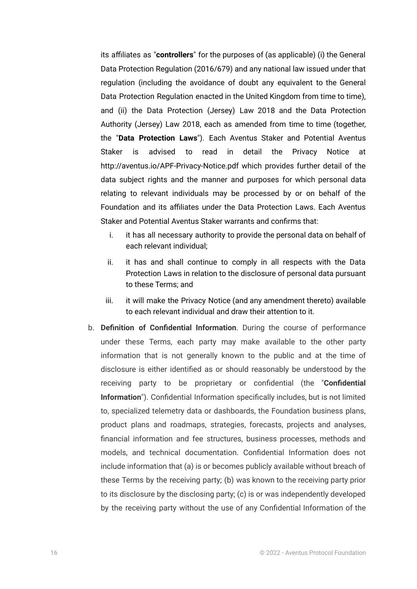its affiliates as "**controllers**" for the purposes of (as applicable) (i) the General Data Protection Regulation (2016/679) and any national law issued under that regulation (including the avoidance of doubt any equivalent to the General Data Protection Regulation enacted in the United Kingdom from time to time), and (ii) the Data Protection (Jersey) Law 2018 and the Data Protection Authority (Jersey) Law 2018, each as amended from time to time (together, the "**Data Protection Laws**"). Each Aventus Staker and Potential Aventus Staker is advised to read in detail the Privacy Notice at http://aventus.io/APF-Privacy-Notice.pdf which provides further detail of the data subject rights and the manner and purposes for which personal data relating to relevant individuals may be processed by or on behalf of the Foundation and its affiliates under the Data Protection Laws. Each Aventus Staker and Potential Aventus Staker warrants and confirms that:

- i. it has all necessary authority to provide the personal data on behalf of each relevant individual;
- ii. it has and shall continue to comply in all respects with the Data Protection Laws in relation to the disclosure of personal data pursuant to these Terms; and
- iii. it will make the Privacy Notice (and any amendment thereto) available to each relevant individual and draw their attention to it.
- b. **Definition of Confidential Information**. During the course of performance under these Terms, each party may make available to the other party information that is not generally known to the public and at the time of disclosure is either identified as or should reasonably be understood by the receiving party to be proprietary or confidential (the "**Confidential Information**"). Confidential Information specifically includes, but is not limited to, specialized telemetry data or dashboards, the Foundation business plans, product plans and roadmaps, strategies, forecasts, projects and analyses, financial information and fee structures, business processes, methods and models, and technical documentation. Confidential Information does not include information that (a) is or becomes publicly available without breach of these Terms by the receiving party; (b) was known to the receiving party prior to its disclosure by the disclosing party; (c) is or was independently developed by the receiving party without the use of any Confidential Information of the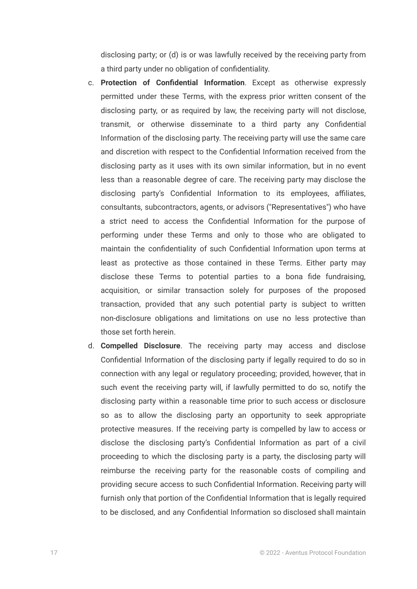disclosing party; or (d) is or was lawfully received by the receiving party from a third party under no obligation of confidentiality.

- c. **Protection of Confidential Information**. Except as otherwise expressly permitted under these Terms, with the express prior written consent of the disclosing party, or as required by law, the receiving party will not disclose, transmit, or otherwise disseminate to a third party any Confidential Information of the disclosing party. The receiving party will use the same care and discretion with respect to the Confidential Information received from the disclosing party as it uses with its own similar information, but in no event less than a reasonable degree of care. The receiving party may disclose the disclosing party's Confidential Information to its employees, affiliates, consultants, subcontractors, agents, or advisors ("Representatives") who have a strict need to access the Confidential Information for the purpose of performing under these Terms and only to those who are obligated to maintain the confidentiality of such Confidential Information upon terms at least as protective as those contained in these Terms. Either party may disclose these Terms to potential parties to a bona fide fundraising, acquisition, or similar transaction solely for purposes of the proposed transaction, provided that any such potential party is subject to written non-disclosure obligations and limitations on use no less protective than those set forth herein.
- d. **Compelled Disclosure**. The receiving party may access and disclose Confidential Information of the disclosing party if legally required to do so in connection with any legal or regulatory proceeding; provided, however, that in such event the receiving party will, if lawfully permitted to do so, notify the disclosing party within a reasonable time prior to such access or disclosure so as to allow the disclosing party an opportunity to seek appropriate protective measures. If the receiving party is compelled by law to access or disclose the disclosing party's Confidential Information as part of a civil proceeding to which the disclosing party is a party, the disclosing party will reimburse the receiving party for the reasonable costs of compiling and providing secure access to such Confidential Information. Receiving party will furnish only that portion of the Confidential Information that is legally required to be disclosed, and any Confidential Information so disclosed shall maintain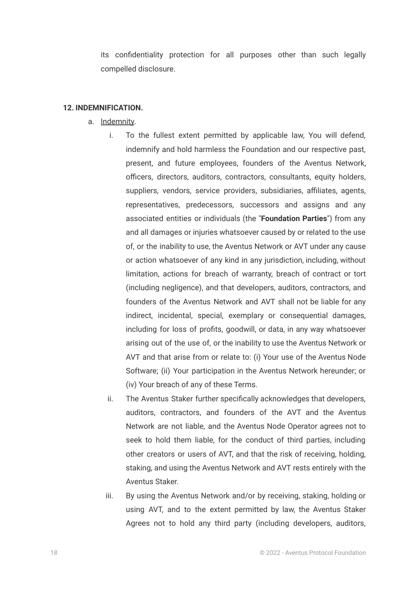its confidentiality protection for all purposes other than such legally compelled disclosure.

#### **12. INDEMNIFICATION.**

- a. Indemnity.
	- i. To the fullest extent permitted by applicable law, You will defend, indemnify and hold harmless the Foundation and our respective past, present, and future employees, founders of the Aventus Network, officers, directors, auditors, contractors, consultants, equity holders, suppliers, vendors, service providers, subsidiaries, affiliates, agents, representatives, predecessors, successors and assigns and any associated entities or individuals (the "**Foundation Parties**") from any and all damages or injuries whatsoever caused by or related to the use of, or the inability to use, the Aventus Network or AVT under any cause or action whatsoever of any kind in any jurisdiction, including, without limitation, actions for breach of warranty, breach of contract or tort (including negligence), and that developers, auditors, contractors, and founders of the Aventus Network and AVT shall not be liable for any indirect, incidental, special, exemplary or consequential damages, including for loss of profits, goodwill, or data, in any way whatsoever arising out of the use of, or the inability to use the Aventus Network or AVT and that arise from or relate to: (i) Your use of the Aventus Node Software; (ii) Your participation in the Aventus Network hereunder; or (iv) Your breach of any of these Terms.
	- ii. The Aventus Staker further specifically acknowledges that developers, auditors, contractors, and founders of the AVT and the Aventus Network are not liable, and the Aventus Node Operator agrees not to seek to hold them liable, for the conduct of third parties, including other creators or users of AVT, and that the risk of receiving, holding, staking, and using the Aventus Network and AVT rests entirely with the Aventus Staker.
	- iii. By using the Aventus Network and/or by receiving, staking, holding or using AVT, and to the extent permitted by law, the Aventus Staker Agrees not to hold any third party (including developers, auditors,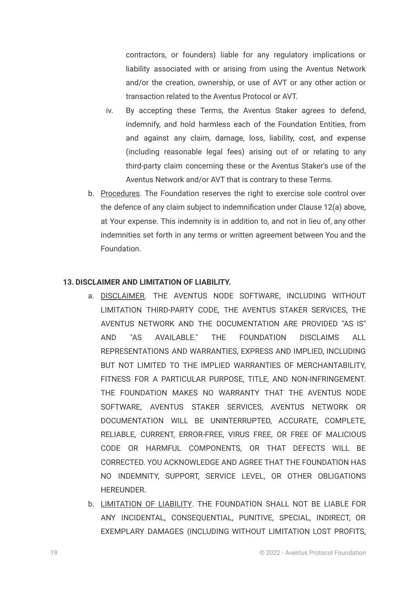contractors, or founders) liable for any regulatory implications or liability associated with or arising from using the Aventus Network and/or the creation, ownership, or use of AVT or any other action or transaction related to the Aventus Protocol or AVT.

- iv. By accepting these Terms, the Aventus Staker agrees to defend, indemnify, and hold harmless each of the Foundation Entities, from and against any claim, damage, loss, liability, cost, and expense (including reasonable legal fees) arising out of or relating to any third-party claim concerning these or the Aventus Staker's use of the Aventus Network and/or AVT that is contrary to these Terms.
- b. Procedures. The Foundation reserves the right to exercise sole control over the defence of any claim subject to indemnification under Clause 12(a) above, at Your expense. This indemnity is in addition to, and not in lieu of, any other indemnities set forth in any terms or written agreement between You and the Foundation.

# **13. DISCLAIMER AND LIMITATION OF LIABILITY.**

- a. DISCLAIMER. THE AVENTUS NODE SOFTWARE, INCLUDING WITHOUT LIMITATION THIRD-PARTY CODE, THE AVENTUS STAKER SERVICES, THE AVENTUS NETWORK AND THE DOCUMENTATION ARE PROVIDED "AS IS" AND "AS AVAILABLE." THE FOUNDATION DISCLAIMS ALL REPRESENTATIONS AND WARRANTIES, EXPRESS AND IMPLIED, INCLUDING BUT NOT LIMITED TO THE IMPLIED WARRANTIES OF MERCHANTABILITY, FITNESS FOR A PARTICULAR PURPOSE, TITLE, AND NON-INFRINGEMENT. THE FOUNDATION MAKES NO WARRANTY THAT THE AVENTUS NODE SOFTWARE, AVENTUS STAKER SERVICES, AVENTUS NETWORK OR DOCUMENTATION WILL BE UNINTERRUPTED, ACCURATE, COMPLETE, RELIABLE, CURRENT, ERROR-FREE, VIRUS FREE, OR FREE OF MALICIOUS CODE OR HARMFUL COMPONENTS, OR THAT DEFECTS WILL BE CORRECTED. YOU ACKNOWLEDGE AND AGREE THAT THE FOUNDATION HAS NO INDEMNITY, SUPPORT, SERVICE LEVEL, OR OTHER OBLIGATIONS HEREUNDER.
- b. LIMITATION OF LIABILITY. THE FOUNDATION SHALL NOT BE LIABLE FOR ANY INCIDENTAL, CONSEQUENTIAL, PUNITIVE, SPECIAL, INDIRECT, OR EXEMPLARY DAMAGES (INCLUDING WITHOUT LIMITATION LOST PROFITS,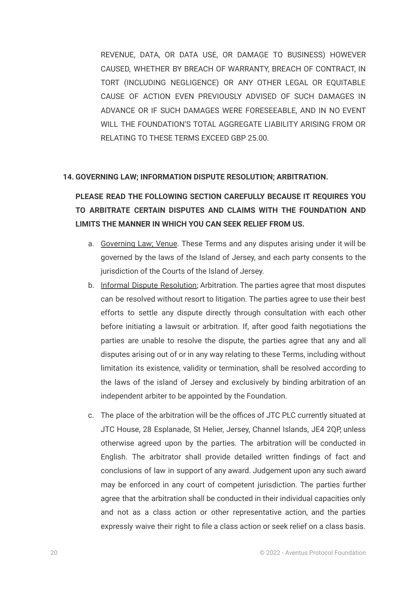REVENUE, DATA, OR DATA USE, OR DAMAGE TO BUSINESS) HOWEVER CAUSED, WHETHER BY BREACH OF WARRANTY, BREACH OF CONTRACT, IN TORT (INCLUDING NEGLIGENCE) OR ANY OTHER LEGAL OR EQUITABLE CAUSE OF ACTION EVEN PREVIOUSLY ADVISED OF SUCH DAMAGES IN ADVANCE OR IF SUCH DAMAGES WERE FORESEEABLE, AND IN NO EVENT WILL THE FOUNDATION'S TOTAL AGGREGATE LIABILITY ARISING FROM OR RELATING TO THESE TERMS EXCEED GBP 25.00.

#### **14. GOVERNING LAW; INFORMATION DISPUTE RESOLUTION; ARBITRATION.**

**PLEASE READ THE FOLLOWING SECTION CAREFULLY BECAUSE IT REQUIRES YOU TO ARBITRATE CERTAIN DISPUTES AND CLAIMS WITH THE FOUNDATION AND LIMITS THE MANNER IN WHICH YOU CAN SEEK RELIEF FROM US.**

- a. Governing Law; Venue. These Terms and any disputes arising under it will be governed by the laws of the Island of Jersey, and each party consents to the jurisdiction of the Courts of the Island of Jersey.
- b. Informal Dispute Resolution; Arbitration. The parties agree that most disputes can be resolved without resort to litigation. The parties agree to use their best efforts to settle any dispute directly through consultation with each other before initiating a lawsuit or arbitration. If, after good faith negotiations the parties are unable to resolve the dispute, the parties agree that any and all disputes arising out of or in any way relating to these Terms, including without limitation its existence, validity or termination, shall be resolved according to the laws of the island of Jersey and exclusively by binding arbitration of an independent arbiter to be appointed by the Foundation.
- c. The place of the arbitration will be the offices of JTC PLC currently situated at JTC House, 28 Esplanade, St Helier, Jersey, Channel Islands, JE4 2QP, unless otherwise agreed upon by the parties. The arbitration will be conducted in English. The arbitrator shall provide detailed written findings of fact and conclusions of law in support of any award. Judgement upon any such award may be enforced in any court of competent jurisdiction. The parties further agree that the arbitration shall be conducted in their individual capacities only and not as a class action or other representative action, and the parties expressly waive their right to file a class action or seek relief on a class basis.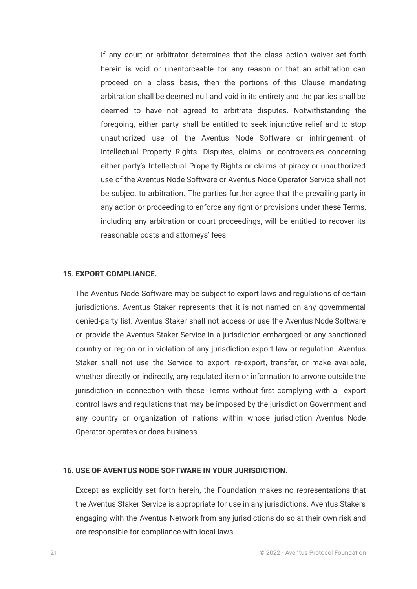If any court or arbitrator determines that the class action waiver set forth herein is void or unenforceable for any reason or that an arbitration can proceed on a class basis, then the portions of this Clause mandating arbitration shall be deemed null and void in its entirety and the parties shall be deemed to have not agreed to arbitrate disputes. Notwithstanding the foregoing, either party shall be entitled to seek injunctive relief and to stop unauthorized use of the Aventus Node Software or infringement of Intellectual Property Rights. Disputes, claims, or controversies concerning either party's Intellectual Property Rights or claims of piracy or unauthorized use of the Aventus Node Software or Aventus Node Operator Service shall not be subject to arbitration. The parties further agree that the prevailing party in any action or proceeding to enforce any right or provisions under these Terms, including any arbitration or court proceedings, will be entitled to recover its reasonable costs and attorneys' fees.

#### **15. EXPORT COMPLIANCE.**

The Aventus Node Software may be subject to export laws and regulations of certain jurisdictions. Aventus Staker represents that it is not named on any governmental denied-party list. Aventus Staker shall not access or use the Aventus Node Software or provide the Aventus Staker Service in a jurisdiction-embargoed or any sanctioned country or region or in violation of any jurisdiction export law or regulation. Aventus Staker shall not use the Service to export, re-export, transfer, or make available, whether directly or indirectly, any regulated item or information to anyone outside the jurisdiction in connection with these Terms without first complying with all export control laws and regulations that may be imposed by the jurisdiction Government and any country or organization of nations within whose jurisdiction Aventus Node Operator operates or does business.

### **16. USE OF AVENTUS NODE SOFTWARE IN YOUR JURISDICTION.**

Except as explicitly set forth herein, the Foundation makes no representations that the Aventus Staker Service is appropriate for use in any jurisdictions. Aventus Stakers engaging with the Aventus Network from any jurisdictions do so at their own risk and are responsible for compliance with local laws.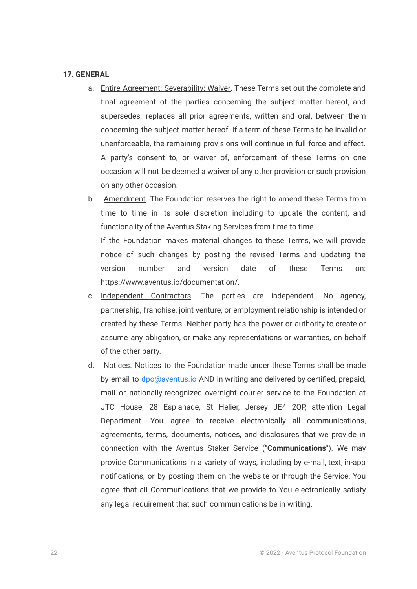### **17. GENERAL**

- a. Entire Agreement; Severability; Waiver. These Terms set out the complete and final agreement of the parties concerning the subject matter hereof, and supersedes, replaces all prior agreements, written and oral, between them concerning the subject matter hereof. If a term of these Terms to be invalid or unenforceable, the remaining provisions will continue in full force and effect. A party's consent to, or waiver of, enforcement of these Terms on one occasion will not be deemed a waiver of any other provision or such provision on any other occasion.
- b. Amendment. The Foundation reserves the right to amend these Terms from time to time in its sole discretion including to update the content, and functionality of the Aventus Staking Services from time to time. If the Foundation makes material changes to these Terms, we will provide notice of such changes by posting the revised Terms and updating the version number and version date of these Terms on:
- c. Independent Contractors. The parties are independent. No agency, partnership, franchise, joint venture, or employment relationship is intended or created by these Terms. Neither party has the power or authority to create or assume any obligation, or make any representations or warranties, on behalf of the other party.

https://www.aventus.io/documentation/.

d. Notices. Notices to the Foundation made under these Terms shall be made by email to dpo@aventus.io AND in writing and delivered by certified, prepaid, mail or nationally-recognized overnight courier service to the Foundation at JTC House, 28 Esplanade, St Helier, Jersey JE4 2QP, attention Legal Department. You agree to receive electronically all communications, agreements, terms, documents, notices, and disclosures that we provide in connection with the Aventus Staker Service ("**Communications**"). We may provide Communications in a variety of ways, including by e-mail, text, in-app notifications, or by posting them on the website or through the Service. You agree that all Communications that we provide to You electronically satisfy any legal requirement that such communications be in writing.